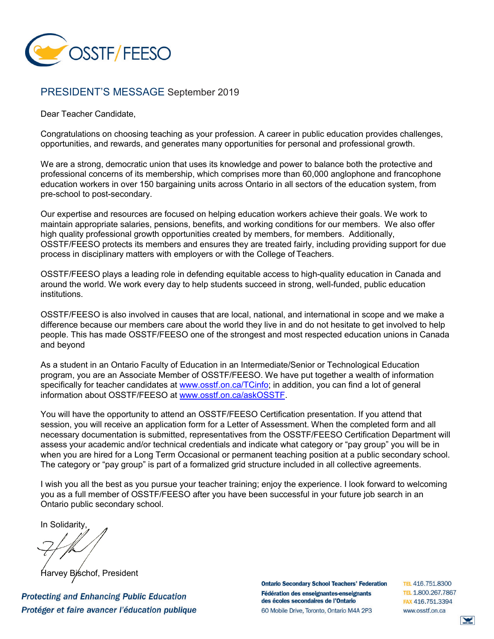

## PRESIDENT'S MESSAGE September 2019

Dear Teacher Candidate,

Congratulations on choosing teaching as your profession. A career in public education provides challenges, opportunities, and rewards, and generates many opportunities for personal and professional growth.

We are a strong, democratic union that uses its knowledge and power to balance both the protective and professional concerns of its membership, which comprises more than 60,000 anglophone and francophone education workers in over 150 bargaining units across Ontario in all sectors of the education system, from pre-school to post-secondary.

Our expertise and resources are focused on helping education workers achieve their goals. We work to maintain appropriate salaries, pensions, benefits, and working conditions for our members. We also offer high quality professional growth opportunities created by members, for members. Additionally, OSSTF/FEESO protects its members and ensures they are treated fairly, including providing support for due process in disciplinary matters with employers or with the College of Teachers.

OSSTF/FEESO plays a leading role in defending equitable access to high-quality education in Canada and around the world. We work every day to help students succeed in strong, well-funded, public education institutions.

OSSTF/FEESO is also involved in causes that are local, national, and international in scope and we make a difference because our members care about the world they live in and do not hesitate to get involved to help people. This has made OSSTF/FEESO one of the strongest and most respected education unions in Canada and beyond

As a student in an Ontario Faculty of Education in an Intermediate/Senior or Technological Education program, you are an Associate Member of OSSTF/FEESO. We have put together a wealth of information specifically for teacher candidates at [www.osstf.on.ca/TCinfo;](http://www.osstf.on.ca/TCinfo) in addition, you can find a lot of general information about OSSTF/FEESO at [www.osstf.on.ca/askOSSTF.](http://www.osstf.on.ca/askOSSTF)

You will have the opportunity to attend an OSSTF/FEESO Certification presentation. If you attend that session, you will receive an application form for a Letter of Assessment. When the completed form and all necessary documentation is submitted, representatives from the OSSTF/FEESO Certification Department will assess your academic and/or technical credentials and indicate what category or "pay group" you will be in when you are hired for a Long Term Occasional or permanent teaching position at a public secondary school. The category or "pay group" is part of a formalized grid structure included in all collective agreements.

I wish you all the best as you pursue your teacher training; enjoy the experience. I look forward to welcoming you as a full member of OSSTF/FEESO after you have been successful in your future job search in an Ontario public secondary school.

In Solidarity,

Bischof, President

**Protecting and Enhancing Public Education** Protéger et faire avancer l'éducation publique **Ontario Secondary School Teachers' Federation** Fédération des enseignantes-enseignants des écoles secondaires de l'Ontario 60 Mobile Drive, Toronto, Ontario M4A 2P3

TEL 416.751.8300 TEL 1.800.267.7867 FAX 416.751.3394 www.osstf.on.ca